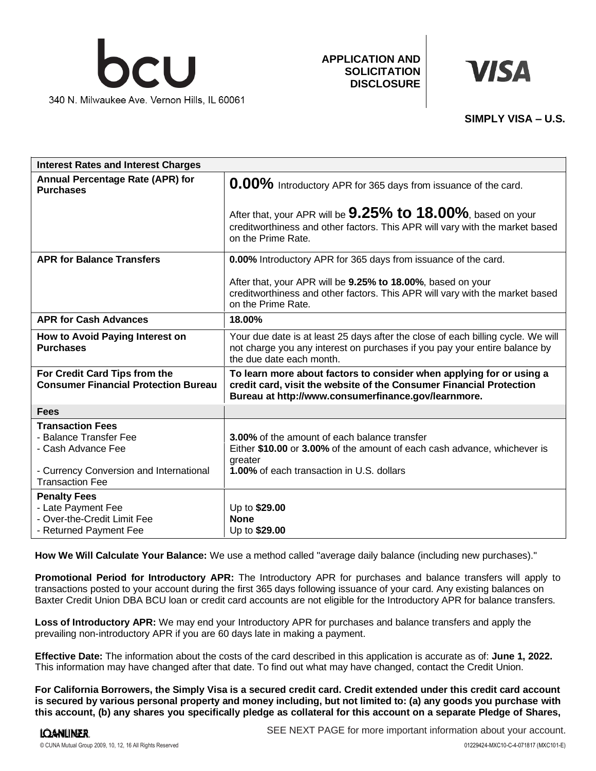

**APPLICATION AND SOLICITATION DISCLOSURE**



## **SIMPLY VISA – U.S.**

| <b>Interest Rates and Interest Charges</b>                                                                                                   |                                                                                                                                                                                                    |
|----------------------------------------------------------------------------------------------------------------------------------------------|----------------------------------------------------------------------------------------------------------------------------------------------------------------------------------------------------|
| <b>Annual Percentage Rate (APR) for</b><br><b>Purchases</b>                                                                                  | 0.00% Introductory APR for 365 days from issuance of the card.                                                                                                                                     |
|                                                                                                                                              | After that, your APR will be $9.25\%$ to 18.00%, based on your<br>creditworthiness and other factors. This APR will vary with the market based<br>on the Prime Rate.                               |
| <b>APR for Balance Transfers</b>                                                                                                             | <b>0.00%</b> Introductory APR for 365 days from issuance of the card.                                                                                                                              |
|                                                                                                                                              | After that, your APR will be 9.25% to 18.00%, based on your<br>creditworthiness and other factors. This APR will vary with the market based<br>on the Prime Rate.                                  |
| <b>APR for Cash Advances</b>                                                                                                                 | 18.00%                                                                                                                                                                                             |
| How to Avoid Paying Interest on<br><b>Purchases</b>                                                                                          | Your due date is at least 25 days after the close of each billing cycle. We will<br>not charge you any interest on purchases if you pay your entire balance by<br>the due date each month.         |
| For Credit Card Tips from the<br><b>Consumer Financial Protection Bureau</b>                                                                 | To learn more about factors to consider when applying for or using a<br>credit card, visit the website of the Consumer Financial Protection<br>Bureau at http://www.consumerfinance.gov/learnmore. |
| <b>Fees</b>                                                                                                                                  |                                                                                                                                                                                                    |
| <b>Transaction Fees</b><br>- Balance Transfer Fee<br>- Cash Advance Fee<br>- Currency Conversion and International<br><b>Transaction Fee</b> | <b>3.00%</b> of the amount of each balance transfer<br>Either \$10.00 or 3.00% of the amount of each cash advance, whichever is<br>greater<br><b>1.00%</b> of each transaction in U.S. dollars     |
| <b>Penalty Fees</b>                                                                                                                          |                                                                                                                                                                                                    |
| - Late Payment Fee<br>- Over-the-Credit Limit Fee<br>- Returned Payment Fee                                                                  | Up to \$29.00<br><b>None</b><br>Up to \$29.00                                                                                                                                                      |

**How We Will Calculate Your Balance:** We use a method called "average daily balance (including new purchases)."

**Promotional Period for Introductory APR:** The Introductory APR for purchases and balance transfers will apply to transactions posted to your account during the first 365 days following issuance of your card. Any existing balances on Baxter Credit Union DBA BCU loan or credit card accounts are not eligible for the Introductory APR for balance transfers.

**Loss of Introductory APR:** We may end your Introductory APR for purchases and balance transfers and apply the prevailing non-introductory APR if you are 60 days late in making a payment.

**Effective Date:** The information about the costs of the card described in this application is accurate as of: **June 1, 2022.** This information may have changed after that date. To find out what may have changed, contact the Credit Union.

**For California Borrowers, the Simply Visa is a secured credit card. Credit extended under this credit card account is secured by various personal property and money including, but not limited to: (a) any goods you purchase with this account, (b) any shares you specifically pledge as collateral for this account on a separate Pledge of Shares,**